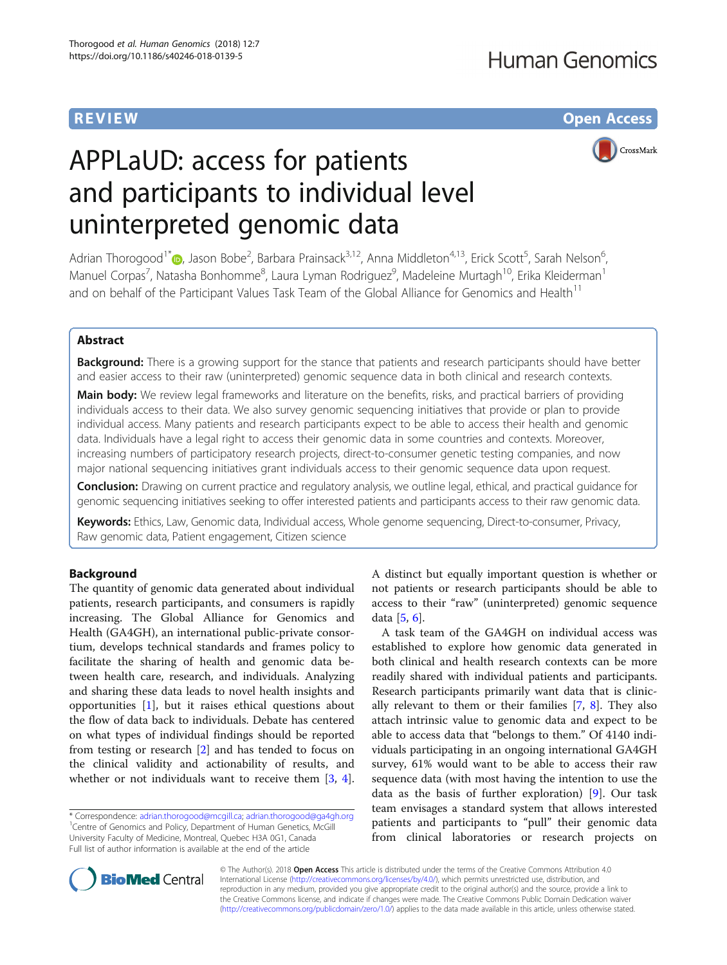**REVIEW CONSTRUCTION CONSTRUCTION CONSTRUCTS** 

# APPLaUD: access for patients and participants to individual level uninterpreted genomic data

CrossMark

Adrian Thorogood<sup>1\*</sup>®[,](http://orcid.org/0000-0001-5078-8164) Jason Bobe<sup>2</sup>, Barbara Prainsack<sup>3,12</sup>, Anna Middleton<sup>4,13</sup>, Erick Scott<sup>5</sup>, Sarah Nelson<sup>6</sup> .<br>, Manuel Corpas<sup>7</sup>, Natasha Bonhomme<sup>8</sup>, Laura Lyman Rodriguez<sup>9</sup>, Madeleine Murtagh<sup>10</sup>, Erika Kleiderman<sup>1</sup> and on behalf of the Participant Values Task Team of the Global Alliance for Genomics and Health<sup>11</sup>

# Abstract

**Background:** There is a growing support for the stance that patients and research participants should have better and easier access to their raw (uninterpreted) genomic sequence data in both clinical and research contexts.

Main body: We review legal frameworks and literature on the benefits, risks, and practical barriers of providing individuals access to their data. We also survey genomic sequencing initiatives that provide or plan to provide individual access. Many patients and research participants expect to be able to access their health and genomic data. Individuals have a legal right to access their genomic data in some countries and contexts. Moreover, increasing numbers of participatory research projects, direct-to-consumer genetic testing companies, and now major national sequencing initiatives grant individuals access to their genomic sequence data upon request.

Conclusion: Drawing on current practice and regulatory analysis, we outline legal, ethical, and practical guidance for genomic sequencing initiatives seeking to offer interested patients and participants access to their raw genomic data.

Keywords: Ethics, Law, Genomic data, Individual access, Whole genome sequencing, Direct-to-consumer, Privacy, Raw genomic data, Patient engagement, Citizen science

# Background

The quantity of genomic data generated about individual patients, research participants, and consumers is rapidly increasing. The Global Alliance for Genomics and Health (GA4GH), an international public-private consortium, develops technical standards and frames policy to facilitate the sharing of health and genomic data between health care, research, and individuals. Analyzing and sharing these data leads to novel health insights and opportunities [[1](#page-4-0)], but it raises ethical questions about the flow of data back to individuals. Debate has centered on what types of individual findings should be reported from testing or research [\[2](#page-4-0)] and has tended to focus on the clinical validity and actionability of results, and whether or not individuals want to receive them [\[3](#page-4-0), [4](#page-4-0)].

\* Correspondence: [adrian.thorogood@mcgill.ca](mailto:adrian.thorogood@mcgill.ca); [adrian.thorogood@ga4gh.org](mailto:adrian.thorogood@ga4gh.org) <sup>1</sup> <sup>1</sup> Centre of Genomics and Policy, Department of Human Genetics, McGill University Faculty of Medicine, Montreal, Quebec H3A 0G1, Canada Full list of author information is available at the end of the article

A distinct but equally important question is whether or not patients or research participants should be able to access to their "raw" (uninterpreted) genomic sequence data [\[5,](#page-4-0) [6\]](#page-4-0).

A task team of the GA4GH on individual access was established to explore how genomic data generated in both clinical and health research contexts can be more readily shared with individual patients and participants. Research participants primarily want data that is clinically relevant to them or their families [\[7](#page-4-0), [8](#page-4-0)]. They also attach intrinsic value to genomic data and expect to be able to access data that "belongs to them." Of 4140 individuals participating in an ongoing international GA4GH survey, 61% would want to be able to access their raw sequence data (with most having the intention to use the data as the basis of further exploration) [[9\]](#page-4-0). Our task team envisages a standard system that allows interested patients and participants to "pull" their genomic data from clinical laboratories or research projects on



© The Author(s). 2018 Open Access This article is distributed under the terms of the Creative Commons Attribution 4.0 International License [\(http://creativecommons.org/licenses/by/4.0/](http://creativecommons.org/licenses/by/4.0/)), which permits unrestricted use, distribution, and reproduction in any medium, provided you give appropriate credit to the original author(s) and the source, provide a link to the Creative Commons license, and indicate if changes were made. The Creative Commons Public Domain Dedication waiver [\(http://creativecommons.org/publicdomain/zero/1.0/](http://creativecommons.org/publicdomain/zero/1.0/)) applies to the data made available in this article, unless otherwise stated.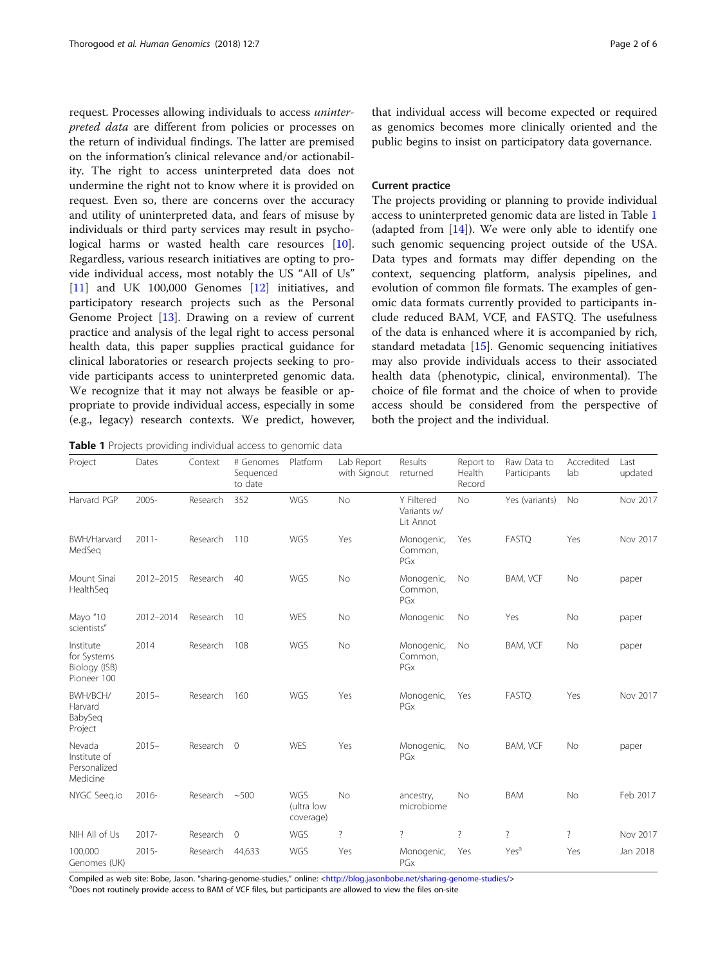request. Processes allowing individuals to access uninterpreted data are different from policies or processes on the return of individual findings. The latter are premised on the information's clinical relevance and/or actionability. The right to access uninterpreted data does not undermine the right not to know where it is provided on request. Even so, there are concerns over the accuracy and utility of uninterpreted data, and fears of misuse by individuals or third party services may result in psychological harms or wasted health care resources [\[10](#page-4-0)]. Regardless, various research initiatives are opting to provide individual access, most notably the US "All of Us" [[11\]](#page-4-0) and UK 100,000 Genomes [[12\]](#page-4-0) initiatives, and participatory research projects such as the Personal Genome Project [[13\]](#page-4-0). Drawing on a review of current practice and analysis of the legal right to access personal health data, this paper supplies practical guidance for clinical laboratories or research projects seeking to provide participants access to uninterpreted genomic data. We recognize that it may not always be feasible or appropriate to provide individual access, especially in some (e.g., legacy) research contexts. We predict, however,

Table 1 Projects providing individual access to genomic data

that individual access will become expected or required as genomics becomes more clinically oriented and the public begins to insist on participatory data governance.

#### Current practice

The projects providing or planning to provide individual access to uninterpreted genomic data are listed in Table 1 (adapted from  $[14]$  $[14]$ ). We were only able to identify one such genomic sequencing project outside of the USA. Data types and formats may differ depending on the context, sequencing platform, analysis pipelines, and evolution of common file formats. The examples of genomic data formats currently provided to participants include reduced BAM, VCF, and FASTQ. The usefulness of the data is enhanced where it is accompanied by rich, standard metadata [[15\]](#page-4-0). Genomic sequencing initiatives may also provide individuals access to their associated health data (phenotypic, clinical, environmental). The choice of file format and the choice of when to provide access should be considered from the perspective of both the project and the individual.

| Project                                                  | Dates     | Context  | # Genomes<br>Sequenced<br>to date | Platform                              | Lab Report<br>with Signout | Results<br>returned                    | Report to<br>Health<br>Record | Raw Data to<br>Participants | Accredited<br>lab  | Last<br>updated |
|----------------------------------------------------------|-----------|----------|-----------------------------------|---------------------------------------|----------------------------|----------------------------------------|-------------------------------|-----------------------------|--------------------|-----------------|
| Harvard PGP                                              | $2005 -$  | Research | 352                               | WGS                                   | <b>No</b>                  | Y Filtered<br>Variants w/<br>Lit Annot | <b>No</b>                     | Yes (variants)              | <b>No</b>          | Nov 2017        |
| BWH/Harvard<br>MedSeq                                    | $2011 -$  | Research | 110                               | WGS                                   | Yes                        | Monogenic,<br>Common,<br>PGx           | Yes                           | FASTQ                       | Yes                | Nov 2017        |
| Mount Sinai<br>HealthSeg                                 | 2012-2015 | Research | 40                                | WGS                                   | No                         | Monogenic,<br>Common,<br>PGx           | No                            | BAM, VCF                    | No                 | paper           |
| Mayo "10<br>scientists <sup>"</sup>                      | 2012-2014 | Research | 10                                | WES                                   | No                         | Monogenic                              | No                            | Yes                         | No                 | paper           |
| Institute<br>for Systems<br>Biology (ISB)<br>Pioneer 100 | 2014      | Research | 108                               | WGS                                   | No                         | Monogenic,<br>Common,<br>PGx           | No                            | BAM, VCF                    | No                 | paper           |
| BWH/BCH/<br>Harvard<br>BabySeg<br>Project                | $2015 -$  | Research | 160                               | <b>WGS</b>                            | Yes                        | Monogenic,<br>PGx                      | Yes                           | <b>FASTQ</b>                | Yes                | Nov 2017        |
| Nevada<br>Institute of<br>Personalized<br>Medicine       | $2015 -$  | Research | $\mathcal{O}$                     | WES                                   | Yes                        | Monogenic,<br>PGx                      | <b>No</b>                     | BAM, VCF                    | No                 | paper           |
| NYGC Seeg.io                                             | 2016-     | Research | ~100                              | <b>WGS</b><br>(ultra low<br>coverage) | <b>No</b>                  | ancestry,<br>microbiome                | No                            | <b>BAM</b>                  | No                 | Feb 2017        |
| NIH All of Us                                            | $2017 -$  | Research | $\mathbf{0}$                      | WGS                                   | $\overline{\cdot}$         | $\overline{?}$                         | ?                             | $\overline{\cdot}$          | $\overline{\cdot}$ | Nov 2017        |
| 100,000<br>Genomes (UK)                                  | $2015 -$  | Research | 44,633                            | WGS                                   | Yes                        | Monogenic,<br>PGx                      | Yes                           | Yes <sup>a</sup>            | Yes                | Jan 2018        |

Compiled as web site: Bobe, Jason. "sharing-genome-studies," online: [<http://blog.jasonbobe.net/sharing-genome-studies/](http://blog.jasonbobe.net/sharing-genome-studies/)> <sup>a</sup>

aDoes not routinely provide access to BAM of VCF files, but participants are allowed to view the files on-site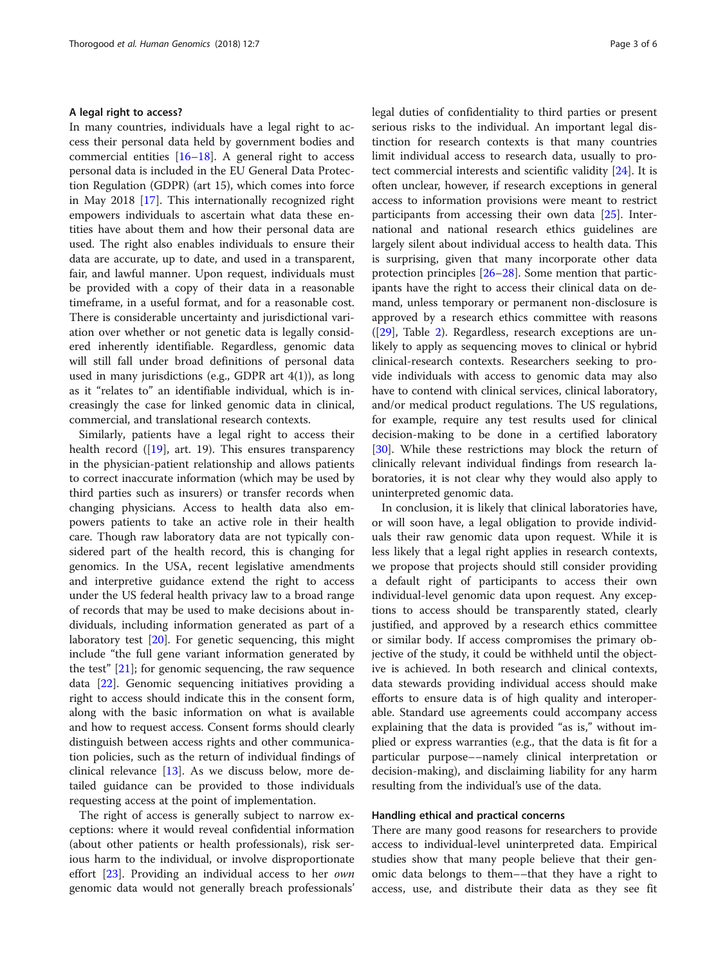#### A legal right to access?

In many countries, individuals have a legal right to access their personal data held by government bodies and commercial entities [[16](#page-4-0)–[18](#page-5-0)]. A general right to access personal data is included in the EU General Data Protection Regulation (GDPR) (art 15), which comes into force in May 2018 [[17\]](#page-5-0). This internationally recognized right empowers individuals to ascertain what data these entities have about them and how their personal data are used. The right also enables individuals to ensure their data are accurate, up to date, and used in a transparent, fair, and lawful manner. Upon request, individuals must be provided with a copy of their data in a reasonable timeframe, in a useful format, and for a reasonable cost. There is considerable uncertainty and jurisdictional variation over whether or not genetic data is legally considered inherently identifiable. Regardless, genomic data will still fall under broad definitions of personal data used in many jurisdictions (e.g., GDPR art 4(1)), as long as it "relates to" an identifiable individual, which is increasingly the case for linked genomic data in clinical, commercial, and translational research contexts.

Similarly, patients have a legal right to access their health record  $([19]$  $([19]$  $([19]$ , art. 19). This ensures transparency in the physician-patient relationship and allows patients to correct inaccurate information (which may be used by third parties such as insurers) or transfer records when changing physicians. Access to health data also empowers patients to take an active role in their health care. Though raw laboratory data are not typically considered part of the health record, this is changing for genomics. In the USA, recent legislative amendments and interpretive guidance extend the right to access under the US federal health privacy law to a broad range of records that may be used to make decisions about individuals, including information generated as part of a laboratory test [\[20](#page-5-0)]. For genetic sequencing, this might include "the full gene variant information generated by the test" [\[21\]](#page-5-0); for genomic sequencing, the raw sequence data [[22](#page-5-0)]. Genomic sequencing initiatives providing a right to access should indicate this in the consent form, along with the basic information on what is available and how to request access. Consent forms should clearly distinguish between access rights and other communication policies, such as the return of individual findings of clinical relevance [\[13](#page-4-0)]. As we discuss below, more detailed guidance can be provided to those individuals requesting access at the point of implementation.

The right of access is generally subject to narrow exceptions: where it would reveal confidential information (about other patients or health professionals), risk serious harm to the individual, or involve disproportionate effort [\[23\]](#page-5-0). Providing an individual access to her own genomic data would not generally breach professionals' legal duties of confidentiality to third parties or present serious risks to the individual. An important legal distinction for research contexts is that many countries limit individual access to research data, usually to protect commercial interests and scientific validity [[24](#page-5-0)]. It is often unclear, however, if research exceptions in general access to information provisions were meant to restrict participants from accessing their own data [\[25](#page-5-0)]. International and national research ethics guidelines are largely silent about individual access to health data. This is surprising, given that many incorporate other data protection principles [[26](#page-5-0)–[28\]](#page-5-0). Some mention that participants have the right to access their clinical data on demand, unless temporary or permanent non-disclosure is approved by a research ethics committee with reasons ([\[29\]](#page-5-0), Table [2\)](#page-3-0). Regardless, research exceptions are unlikely to apply as sequencing moves to clinical or hybrid clinical-research contexts. Researchers seeking to provide individuals with access to genomic data may also have to contend with clinical services, clinical laboratory, and/or medical product regulations. The US regulations, for example, require any test results used for clinical decision-making to be done in a certified laboratory [[30\]](#page-5-0). While these restrictions may block the return of clinically relevant individual findings from research laboratories, it is not clear why they would also apply to uninterpreted genomic data.

In conclusion, it is likely that clinical laboratories have, or will soon have, a legal obligation to provide individuals their raw genomic data upon request. While it is less likely that a legal right applies in research contexts, we propose that projects should still consider providing a default right of participants to access their own individual-level genomic data upon request. Any exceptions to access should be transparently stated, clearly justified, and approved by a research ethics committee or similar body. If access compromises the primary objective of the study, it could be withheld until the objective is achieved. In both research and clinical contexts, data stewards providing individual access should make efforts to ensure data is of high quality and interoperable. Standard use agreements could accompany access explaining that the data is provided "as is," without implied or express warranties (e.g., that the data is fit for a particular purpose––namely clinical interpretation or decision-making), and disclaiming liability for any harm resulting from the individual's use of the data.

# Handling ethical and practical concerns

There are many good reasons for researchers to provide access to individual-level uninterpreted data. Empirical studies show that many people believe that their genomic data belongs to them––that they have a right to access, use, and distribute their data as they see fit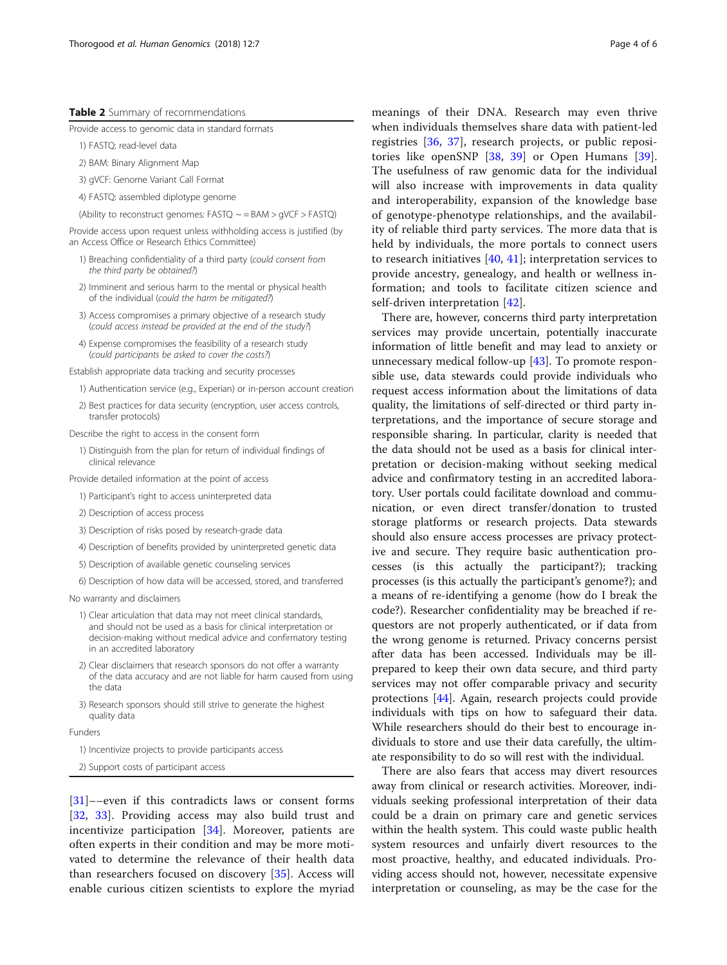# <span id="page-3-0"></span>Table 2 Summary of recommendations

Provide access to genomic data in standard formats

1) FASTQ: read-level data

2) BAM: Binary Alignment Map

- 3) gVCF: Genome Variant Call Format
- 4) FASTQ: assembled diplotype genome

(Ability to reconstruct genomes:  $FASTQ \sim = BAM > gVCF > FASTQ$ )

Provide access upon request unless withholding access is justified (by an Access Office or Research Ethics Committee)

- 1) Breaching confidentiality of a third party (could consent from the third party be obtained?)
- 2) Imminent and serious harm to the mental or physical health of the individual (could the harm be mitigated?)
- 3) Access compromises a primary objective of a research study (could access instead be provided at the end of the study?)
- 4) Expense compromises the feasibility of a research study (could participants be asked to cover the costs?)

Establish appropriate data tracking and security processes

- 1) Authentication service (e.g., Experian) or in-person account creation
- 2) Best practices for data security (encryption, user access controls, transfer protocols)

Describe the right to access in the consent form

1) Distinguish from the plan for return of individual findings of clinical relevance

Provide detailed information at the point of access

- 1) Participant's right to access uninterpreted data
- 2) Description of access process
- 3) Description of risks posed by research-grade data
- 4) Description of benefits provided by uninterpreted genetic data
- 5) Description of available genetic counseling services

6) Description of how data will be accessed, stored, and transferred

No warranty and disclaimers

- 1) Clear articulation that data may not meet clinical standards, and should not be used as a basis for clinical interpretation or decision-making without medical advice and confirmatory testing in an accredited laboratory
- 2) Clear disclaimers that research sponsors do not offer a warranty of the data accuracy and are not liable for harm caused from using the data
- 3) Research sponsors should still strive to generate the highest quality data

Funders

1) Incentivize projects to provide participants access

2) Support costs of participant access

[[31\]](#page-5-0)––even if this contradicts laws or consent forms [[32,](#page-5-0) [33](#page-5-0)]. Providing access may also build trust and incentivize participation [\[34](#page-5-0)]. Moreover, patients are often experts in their condition and may be more motivated to determine the relevance of their health data than researchers focused on discovery [[35\]](#page-5-0). Access will enable curious citizen scientists to explore the myriad

meanings of their DNA. Research may even thrive when individuals themselves share data with patient-led registries [[36](#page-5-0), [37\]](#page-5-0), research projects, or public repositories like openSNP [[38,](#page-5-0) [39](#page-5-0)] or Open Humans [\[39](#page-5-0)]. The usefulness of raw genomic data for the individual will also increase with improvements in data quality and interoperability, expansion of the knowledge base of genotype-phenotype relationships, and the availability of reliable third party services. The more data that is held by individuals, the more portals to connect users to research initiatives [\[40](#page-5-0), [41\]](#page-5-0); interpretation services to provide ancestry, genealogy, and health or wellness information; and tools to facilitate citizen science and self-driven interpretation [\[42](#page-5-0)].

There are, however, concerns third party interpretation services may provide uncertain, potentially inaccurate information of little benefit and may lead to anxiety or unnecessary medical follow-up [[43\]](#page-5-0). To promote responsible use, data stewards could provide individuals who request access information about the limitations of data quality, the limitations of self-directed or third party interpretations, and the importance of secure storage and responsible sharing. In particular, clarity is needed that the data should not be used as a basis for clinical interpretation or decision-making without seeking medical advice and confirmatory testing in an accredited laboratory. User portals could facilitate download and communication, or even direct transfer/donation to trusted storage platforms or research projects. Data stewards should also ensure access processes are privacy protective and secure. They require basic authentication processes (is this actually the participant?); tracking processes (is this actually the participant's genome?); and a means of re-identifying a genome (how do I break the code?). Researcher confidentiality may be breached if requestors are not properly authenticated, or if data from the wrong genome is returned. Privacy concerns persist after data has been accessed. Individuals may be illprepared to keep their own data secure, and third party services may not offer comparable privacy and security protections [[44\]](#page-5-0). Again, research projects could provide individuals with tips on how to safeguard their data. While researchers should do their best to encourage individuals to store and use their data carefully, the ultimate responsibility to do so will rest with the individual.

There are also fears that access may divert resources away from clinical or research activities. Moreover, individuals seeking professional interpretation of their data could be a drain on primary care and genetic services within the health system. This could waste public health system resources and unfairly divert resources to the most proactive, healthy, and educated individuals. Providing access should not, however, necessitate expensive interpretation or counseling, as may be the case for the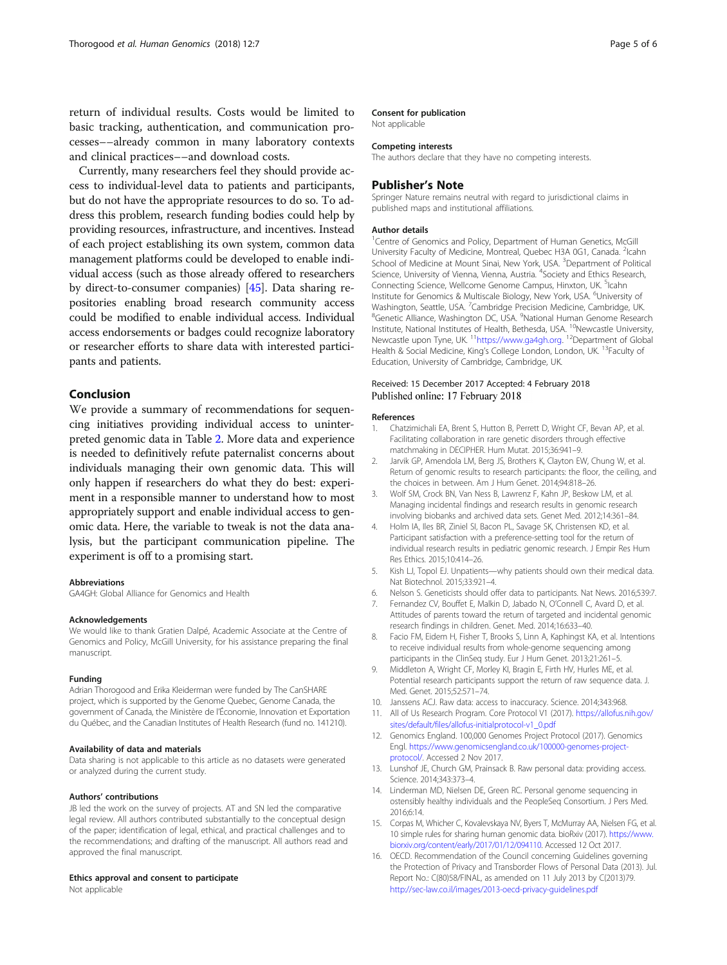<span id="page-4-0"></span>return of individual results. Costs would be limited to basic tracking, authentication, and communication processes––already common in many laboratory contexts and clinical practices––and download costs.

Currently, many researchers feel they should provide access to individual-level data to patients and participants, but do not have the appropriate resources to do so. To address this problem, research funding bodies could help by providing resources, infrastructure, and incentives. Instead of each project establishing its own system, common data management platforms could be developed to enable individual access (such as those already offered to researchers by direct-to-consumer companies) [\[45\]](#page-5-0). Data sharing repositories enabling broad research community access could be modified to enable individual access. Individual access endorsements or badges could recognize laboratory or researcher efforts to share data with interested participants and patients.

# Conclusion

We provide a summary of recommendations for sequencing initiatives providing individual access to uninterpreted genomic data in Table [2](#page-3-0). More data and experience is needed to definitively refute paternalist concerns about individuals managing their own genomic data. This will only happen if researchers do what they do best: experiment in a responsible manner to understand how to most appropriately support and enable individual access to genomic data. Here, the variable to tweak is not the data analysis, but the participant communication pipeline. The experiment is off to a promising start.

#### Abbreviations

GA4GH: Global Alliance for Genomics and Health

#### Acknowledgements

We would like to thank Gratien Dalpé, Academic Associate at the Centre of Genomics and Policy, McGill University, for his assistance preparing the final manuscript.

#### Funding

Adrian Thorogood and Erika Kleiderman were funded by The CanSHARE project, which is supported by the Genome Quebec, Genome Canada, the government of Canada, the Ministère de l'Économie, Innovation et Exportation du Québec, and the Canadian Institutes of Health Research (fund no. 141210).

#### Availability of data and materials

Data sharing is not applicable to this article as no datasets were generated or analyzed during the current study.

#### Authors' contributions

JB led the work on the survey of projects. AT and SN led the comparative legal review. All authors contributed substantially to the conceptual design of the paper; identification of legal, ethical, and practical challenges and to the recommendations; and drafting of the manuscript. All authors read and approved the final manuscript.

#### Ethics approval and consent to participate

Not applicable

#### Consent for publication

Not applicable

#### Competing interests

The authors declare that they have no competing interests.

#### Publisher's Note

Springer Nature remains neutral with regard to jurisdictional claims in published maps and institutional affiliations.

#### Author details

<sup>1</sup> Centre of Genomics and Policy, Department of Human Genetics, McGill University Faculty of Medicine, Montreal, Quebec H3A 0G1, Canada. <sup>2</sup>Icahn School of Medicine at Mount Sinai, New York, USA. <sup>3</sup>Department of Political Science, University of Vienna, Vienna, Austria. <sup>4</sup>Society and Ethics Research Connecting Science, Wellcome Genome Campus, Hinxton, UK. <sup>5</sup>Icahn Institute for Genomics & Multiscale Biology, New York, USA. <sup>6</sup>University of Washington, Seattle, USA. <sup>7</sup>Cambridge Precision Medicine, Cambridge, UK.<br><sup>8</sup>Genetis Alliance Washington DC USA. <sup>9</sup>National Human General Pesear Genetic Alliance, Washington DC, USA. <sup>9</sup>National Human Genome Research Institute, National Institutes of Health, Bethesda, USA. <sup>10</sup>Newcastle University, Mewcastle upon Tyne, UK. <sup>11</sup>[https://www.ga4gh.org.](https://www.ga4gh.org) <sup>12</sup>Department of Global Health & Social Medicine, King's College London, London, UK. 13Faculty of Education, University of Cambridge, Cambridge, UK.

### Received: 15 December 2017 Accepted: 4 February 2018 Published online: 17 February 2018

#### References

- 1. Chatzimichali EA, Brent S, Hutton B, Perrett D, Wright CF, Bevan AP, et al. Facilitating collaboration in rare genetic disorders through effective matchmaking in DECIPHER. Hum Mutat. 2015;36:941–9.
- 2. Jarvik GP, Amendola LM, Berg JS, Brothers K, Clayton EW, Chung W, et al. Return of genomic results to research participants: the floor, the ceiling, and the choices in between. Am J Hum Genet. 2014;94:818–26.
- 3. Wolf SM, Crock BN, Van Ness B, Lawrenz F, Kahn JP, Beskow LM, et al. Managing incidental findings and research results in genomic research involving biobanks and archived data sets. Genet Med. 2012;14:361–84.
- 4. Holm IA, Iles BR, Ziniel SI, Bacon PL, Savage SK, Christensen KD, et al. Participant satisfaction with a preference-setting tool for the return of individual research results in pediatric genomic research. J Empir Res Hum Res Ethics. 2015;10:414–26.
- 5. Kish LJ, Topol EJ. Unpatients—why patients should own their medical data. Nat Biotechnol. 2015;33:921–4.
- 6. Nelson S. Geneticists should offer data to participants. Nat News. 2016;539:7.
- 7. Fernandez CV, Bouffet E, Malkin D, Jabado N, O'Connell C, Avard D, et al. Attitudes of parents toward the return of targeted and incidental genomic research findings in children. Genet. Med. 2014;16:633–40.
- Facio FM, Eidem H, Fisher T, Brooks S, Linn A, Kaphingst KA, et al. Intentions to receive individual results from whole-genome sequencing among participants in the ClinSeq study. Eur J Hum Genet. 2013;21:261–5.
- 9. Middleton A, Wright CF, Morley KI, Bragin E, Firth HV, Hurles ME, et al. Potential research participants support the return of raw sequence data. J. Med. Genet. 2015;52:571–74.
- 10. Janssens ACJ. Raw data: access to inaccuracy. Science. 2014;343:968.
- 11. All of Us Research Program. Core Protocol V1 (2017). [https://allofus.nih.gov/](https://allofus.nih.gov/sites/default/files/allofus-initialprotocol-v1_0.pdf) [sites/default/files/allofus-initialprotocol-v1\\_0.pdf](https://allofus.nih.gov/sites/default/files/allofus-initialprotocol-v1_0.pdf)
- 12. Genomics England. 100,000 Genomes Project Protocol (2017). Genomics Engl. [https://www.genomicsengland.co.uk/100000-genomes-project](https://www.genomicsengland.co.uk/100000-genomes-project-protocol/)[protocol/](https://www.genomicsengland.co.uk/100000-genomes-project-protocol/). Accessed 2 Nov 2017.
- 13. Lunshof JE, Church GM, Prainsack B. Raw personal data: providing access. Science. 2014;343:373–4.
- 14. Linderman MD, Nielsen DE, Green RC. Personal genome sequencing in ostensibly healthy individuals and the PeopleSeq Consortium. J Pers Med. 2016;6:14.
- 15. Corpas M, Whicher C, Kovalevskaya NV, Byers T, McMurray AA, Nielsen FG, et al. 10 simple rules for sharing human genomic data. bioRxiv (2017). [https://www.](https://www.biorxiv.org/content/early/2017/01/12/094110) [biorxiv.org/content/early/2017/01/12/094110.](https://www.biorxiv.org/content/early/2017/01/12/094110) Accessed 12 Oct 2017.
- 16. OECD. Recommendation of the Council concerning Guidelines governing the Protection of Privacy and Transborder Flows of Personal Data (2013). Jul. Report No.: C(80)58/FINAL, as amended on 11 July 2013 by C(2013)79. <http://sec-law.co.il/images/2013-oecd-privacy-guidelines.pdf>